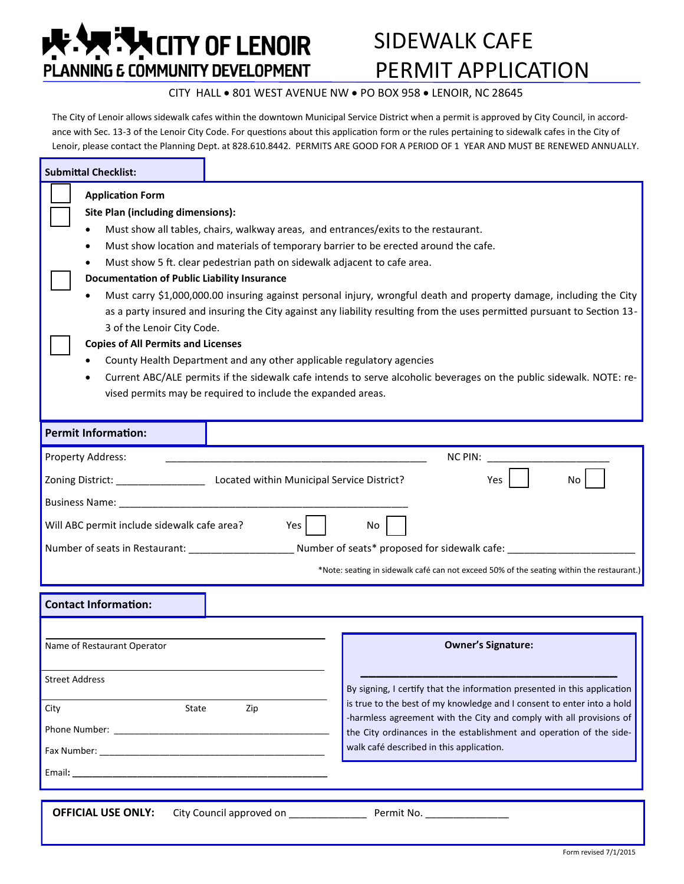**EXAMPLE TAN CITY OF LENOIR** PLANNING E COMMUNITY DEVELOPMENT

# SIDEWALK CAFE PERMIT APPLICATION

### CITY HALL . 801 WEST AVENUE NW . PO BOX 958 . LENOIR, NC 28645

The City of Lenoir allows sidewalk cafes within the downtown Municipal Service District when a permit is approved by City Council, in accordance with Sec. 13-3 of the Lenoir City Code. For questions about this application form or the rules pertaining to sidewalk cafes in the City of Lenoir, please contact the Planning Dept. at 828.610.8442. PERMITS ARE GOOD FOR A PERIOD OF 1 YEAR AND MUST BE RENEWED ANNUALLY.

| <b>Submittal Checklist:</b>                                                                                                                                                                                                                                                                                                                                                                                                                                                                                                                                                                                                                                                                                                                                                                                                                                                                                                                                                |  |                                                                                                                                                                                                                                                                                                                                              |
|----------------------------------------------------------------------------------------------------------------------------------------------------------------------------------------------------------------------------------------------------------------------------------------------------------------------------------------------------------------------------------------------------------------------------------------------------------------------------------------------------------------------------------------------------------------------------------------------------------------------------------------------------------------------------------------------------------------------------------------------------------------------------------------------------------------------------------------------------------------------------------------------------------------------------------------------------------------------------|--|----------------------------------------------------------------------------------------------------------------------------------------------------------------------------------------------------------------------------------------------------------------------------------------------------------------------------------------------|
| <b>Application Form</b><br>Site Plan (including dimensions):<br>Must show all tables, chairs, walkway areas, and entrances/exits to the restaurant.<br>Must show location and materials of temporary barrier to be erected around the cafe.<br>Must show 5 ft. clear pedestrian path on sidewalk adjacent to cafe area.<br><b>Documentation of Public Liability Insurance</b><br>Must carry \$1,000,000.00 insuring against personal injury, wrongful death and property damage, including the City<br>as a party insured and insuring the City against any liability resulting from the uses permitted pursuant to Section 13-<br>3 of the Lenoir City Code.<br><b>Copies of All Permits and Licenses</b><br>County Health Department and any other applicable regulatory agencies<br>Current ABC/ALE permits if the sidewalk cafe intends to serve alcoholic beverages on the public sidewalk. NOTE: re-<br>vised permits may be required to include the expanded areas. |  |                                                                                                                                                                                                                                                                                                                                              |
| <b>Permit Information:</b>                                                                                                                                                                                                                                                                                                                                                                                                                                                                                                                                                                                                                                                                                                                                                                                                                                                                                                                                                 |  |                                                                                                                                                                                                                                                                                                                                              |
| Property Address:<br>NC PIN:<br>Zoning District: _________________________ Located within Municipal Service District?<br>No.<br>Yes<br>Will ABC permit include sidewalk cafe area?<br>Yes  <br>No<br>Number of seats in Restaurant: __________________________Number of seats* proposed for sidewalk cafe: ____                                                                                                                                                                                                                                                                                                                                                                                                                                                                                                                                                                                                                                                            |  |                                                                                                                                                                                                                                                                                                                                              |
| *Note: seating in sidewalk café can not exceed 50% of the seating within the restaurant.)                                                                                                                                                                                                                                                                                                                                                                                                                                                                                                                                                                                                                                                                                                                                                                                                                                                                                  |  |                                                                                                                                                                                                                                                                                                                                              |
| <b>Contact Information:</b>                                                                                                                                                                                                                                                                                                                                                                                                                                                                                                                                                                                                                                                                                                                                                                                                                                                                                                                                                |  |                                                                                                                                                                                                                                                                                                                                              |
| Name of Restaurant Operator                                                                                                                                                                                                                                                                                                                                                                                                                                                                                                                                                                                                                                                                                                                                                                                                                                                                                                                                                |  | <b>Owner's Signature:</b>                                                                                                                                                                                                                                                                                                                    |
| <b>Street Address</b><br>City<br>State<br>Zip                                                                                                                                                                                                                                                                                                                                                                                                                                                                                                                                                                                                                                                                                                                                                                                                                                                                                                                              |  | By signing, I certify that the information presented in this application<br>is true to the best of my knowledge and I consent to enter into a hold<br>-harmless agreement with the City and comply with all provisions of<br>the City ordinances in the establishment and operation of the side-<br>walk café described in this application. |
| Email: Email: All and the second contract of the second contract of the second contract of the second contract of the second contract of the second contract of the second contract of the second contract of the second contr<br><b>OFFICIAL USE ONLY:</b><br>City Council approved on ______________<br>Permit No. _________________                                                                                                                                                                                                                                                                                                                                                                                                                                                                                                                                                                                                                                     |  |                                                                                                                                                                                                                                                                                                                                              |